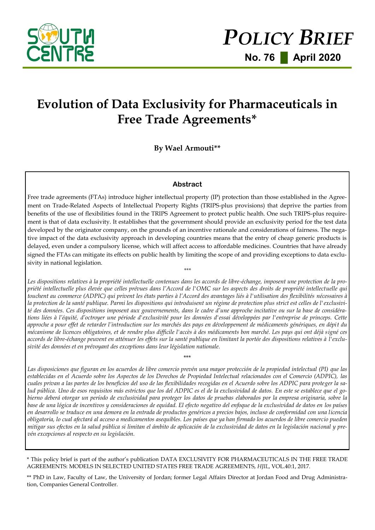

# **Evolution of Data Exclusivity for Pharmaceuticals in Free Trade Agreements\***

**By Wael Armouti\*\***

## **Abstract**

Free trade agreements (FTAs) introduce higher intellectual property (IP) protection than those established in the Agreement on Trade-Related Aspects of Intellectual Property Rights (TRIPS-plus provisions) that deprive the parties from benefits of the use of flexibilities found in the TRIPS Agreement to protect public health. One such TRIPS-plus requirement is that of data exclusivity. It establishes that the government should provide an exclusivity period for the test data developed by the originator company, on the grounds of an incentive rationale and considerations of fairness. The negative impact of the data exclusivity approach in developing countries means that the entry of cheap generic products is delayed, even under a compulsory license, which will affect access to affordable medicines. Countries that have already signed the FTAs can mitigate its effects on public health by limiting the scope of and providing exceptions to data exclusivity in national legislation. *\*\*\**

Les dispositions relatives à la propriété intellectuelle contenues dans les accords de libre-échange, imposent une protection de la pro*priété intellectuelle plus élevée que celles prévues dans l'Accord de l'OMC sur les aspects des droits de propriété intellectuelle qui touchent au commerce (ADPIC) qui privent les états parties à l'Accord des avantages liés à l'utilisation des flexibilités nécessaires à la protection de la santé publique. Parmi les dispositions qui introduisent un régime de protection plus strict est celles de l'exclusivité des données. Ces dispositions imposent aux gouvernements, dans le cadre d'une approche incitative ou sur la base de considérations liées à l'équité, d'octroyer une période d'exclusivité pour les données d'essai développées par l'entreprise de princeps. Cette approche a pour effet de retarder l'introduction sur les marchés des pays en développement de médicaments génériques, en dépit du mécanisme de licences obligatoires, et de rendre plus difficile l'accès à des médicaments bon marché. Les pays qui ont déjà signé ces accords de libre-échange peuvent en atténuer les effets sur la santé publique en limitant la portée des dispositions relatives à l'exclusivité des données et en prévoyant des exceptions dans leur législation nationale.* 

\*\*\*

*Las disposiciones que figuran en los acuerdos de libre comercio prevén una mayor protección de la propiedad intelectual (PI) que las establecidas en el Acuerdo sobre los Aspectos de los Derechos de Propiedad Intelectual relacionados con el Comercio (ADPIC), las cuales privan a las partes de los beneficios del uso de las flexibilidades recogidas en el Acuerdo sobre los ADPIC para proteger la salud pública. Uno de esos requisitos más estrictos que los del ADPIC es el de la exclusividad de datos. En este se establece que el gobierno deberá otorgar un período de exclusividad para proteger los datos de pruebas elaborados por la empresa originaria, sobre la base de una lógica de incentivos y consideraciones de equidad. El efecto negativo del enfoque de la exclusividad de datos en los países en desarrollo se traduce en una demora en la entrada de productos genéricos a precios bajos, incluso de conformidad con una licencia obligatoria, lo cual afectará al acceso a medicamentos asequibles. Los países que ya han firmado los acuerdos de libre comercio pueden mitigar sus efectos en la salud pública si limitan el ámbito de aplicación de la exclusividad de datos en la legislación nacional y prevén excepciones al respecto en su legislación.* 

\* This policy brief is part of the author's publication DATA EXCLUSIVITY FOR PHARMACEUTICALS IN THE FREE TRADE AGREEMENTS: MODELS IN SELECTED UNITED STATES FREE TRADE AGREEMENTS, *HJIL*, VOL.40:1, 2017.

\*\* PhD in Law, Faculty of Law, the University of Jordan; former Legal Affairs Director at Jordan Food and Drug Administration, Companies General Controller.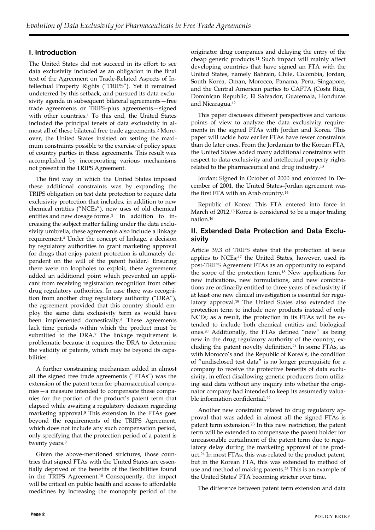## **I. Introduction**

The United States did not succeed in its effort to see data exclusivity included as an obligation in the final text of the Agreement on Trade-Related Aspects of Intellectual Property Rights ("TRIPS"). Yet it remained undeterred by this setback, and pursued its data exclusivity agenda in subsequent bilateral agreements—free trade agreements or TRIPS-plus agreements—signed with other countries.<sup>1</sup> To this end, the United States included the principal tenets of data exclusivity in almost all of these bilateral free trade agreements.<sup>2</sup> Moreover, the United States insisted on setting the maximum constraints possible to the exercise of policy space of country parties in these agreements. This result was accomplished by incorporating various mechanisms not present in the TRIPS Agreement.

The first way in which the United States imposed these additional constraints was by expanding the TRIPS obligation on test data protection to require data exclusivity protection that includes, in addition to new chemical entities ("NCEs"), new uses of old chemical entities and new dosage forms.3 In addition to increasing the subject matter falling under the data exclusivity umbrella, these agreements also include a linkage requirement.<sup>4</sup> Under the concept of linkage, a decision by regulatory authorities to grant marketing approval for drugs that enjoy patent protection is ultimately dependent on the will of the patent holder.<sup>5</sup> Ensuring there were no loopholes to exploit, these agreements added an additional point which prevented an applicant from receiving registration recognition from other drug regulatory authorities. In case there was recognition from another drug regulatory authority ("DRA"), the agreement provided that this country should employ the same data exclusivity term as would have been implemented domestically.<sup>6</sup> These agreements lack time periods within which the product must be submitted to the DRA.<sup>7</sup> The linkage requirement is problematic because it requires the DRA to determine the validity of patents, which may be beyond its capabilities.

A further constraining mechanism added in almost all the signed free trade agreements ("FTAs") was the extension of the patent term for pharmaceutical companies—a measure intended to compensate these companies for the portion of the product's patent term that elapsed while awaiting a regulatory decision regarding marketing approval.<sup>8</sup> This extension in the FTAs goes beyond the requirements of the TRIPS Agreement, which does not include any such compensation period, only specifying that the protection period of a patent is twenty years.<sup>9</sup>

Given the above-mentioned strictures, those countries that signed FTAs with the United States are essentially deprived of the benefits of the flexibilities found in the TRIPS Agreement.<sup>10</sup> Consequently, the impact will be critical on public health and access to affordable medicines by increasing the monopoly period of the

originator drug companies and delaying the entry of the cheap generic products.<sup>11</sup> Such impact will mainly affect developing countries that have signed an FTA with the United States, namely Bahrain, Chile, Colombia, Jordan, South Korea, Oman, Morocco, Panama, Peru, Singapore, and the Central American parties to CAFTA (Costa Rica, Dominican Republic, El Salvador, Guatemala, Honduras and Nicaragua.<sup>12</sup>

This paper discusses different perspectives and various points of view to analyze the data exclusivity requirements in the signed FTAs with Jordan and Korea. This paper will tackle how earlier FTAs have fewer constraints than do later ones. From the Jordanian to the Korean FTA, the United States added many additional constraints with respect to data exclusivity and intellectual property rights related to the pharmaceutical and drug industry.<sup>13</sup>

Jordan: Signed in October of 2000 and enforced in December of 2001, the United States–Jordan agreement was the first FTA with an Arab country.<sup>14</sup>

Republic of Korea: This FTA entered into force in March of 2012.<sup>15</sup> Korea is considered to be a major trading nation.<sup>16</sup>

## **II. Extended Data Protection and Data Exclusivity**

Article 39.3 of TRIPS states that the protection at issue applies to NCEs;<sup>17</sup> the United States, however, used its post-TRIPS Agreement FTAs as an opportunity to expand the scope of the protection term.<sup>18</sup> New applications for new indications, new formulations, and new combinations are ordinarily entitled to three years of exclusivity if at least one new clinical investigation is essential for regulatory approval.<sup>19</sup> The United States also extended the protection term to include new products instead of only NCEs; as a result, the protection in its FTAs will be extended to include both chemical entities and biological ones.<sup>20</sup> Additionally, the FTAs defined "new" as being new in the drug regulatory authority of the country, excluding the patent novelty definition.<sup>21</sup> In some FTAs, as with Morocco's and the Republic of Korea's, the condition of "undisclosed test data" is no longer prerequisite for a company to receive the protective benefits of data exclusivity, in effect disallowing generic producers from utilizing said data without any inquiry into whether the originator company had intended to keep its assumedly valuable information confidential.<sup>22</sup>

Another new constraint related to drug regulatory approval that was added in almost all the signed FTAs is patent term extension.<sup>23</sup> In this new restriction, the patent term will be extended to compensate the patent holder for unreasonable curtailment of the patent term due to regulatory delay during the marketing approval of the product.<sup>24</sup> In most FTAs, this was related to the product patent, but in the Korean FTA, this was extended to method of use and method of making patents.<sup>25</sup> This is an example of the United States' FTA becoming stricter over time.

The difference between patent term extension and data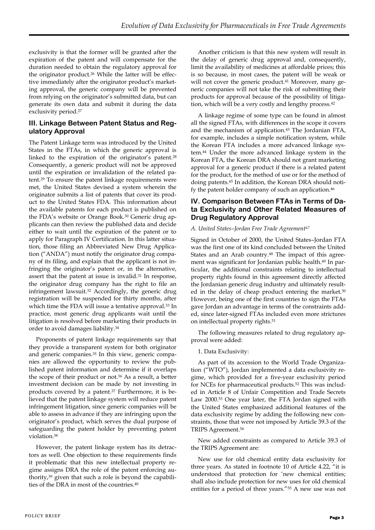exclusivity is that the former will be granted after the expiration of the patent and will compensate for the duration needed to obtain the regulatory approval for the originator product.<sup>26</sup> While the latter will be effective immediately after the originator product's marketing approval, the generic company will be prevented from relying on the originator's submitted data, but can generate its own data and submit it during the data exclusivity period.<sup>27</sup>

## **III. Linkage Between Patent Status and Regulatory Approval**

The Patent Linkage term was introduced by the United States in the FTAs, in which the generic approval is linked to the expiration of the originator's patent.<sup>28</sup> Consequently, a generic product will not be approved until the expiration or invalidation of the related patent.<sup>29</sup> To ensure the patent linkage requirements were met, the United States devised a system wherein the originator submits a list of patents that cover its product to the United States FDA. This information about the available patents for each product is published on the FDA's website or Orange Book.<sup>30</sup> Generic drug applicants can then review the published data and decide either to wait until the expiration of the patent or to apply for Paragraph IV Certification. In this latter situation, those filing an Abbreviated New Drug Application ("ANDA") must notify the originator drug company of its filing, and explain that the applicant is not infringing the originator's patent or, in the alternative, assert that the patent at issue is invalid.<sup>31</sup> In response, the originator drug company has the right to file an infringement lawsuit.<sup>32</sup> Accordingly, the generic drug registration will be suspended for thirty months, after which time the FDA will issue a tentative approval.<sup>33</sup> In practice, most generic drug applicants wait until the litigation is resolved before marketing their products in order to avoid damages liability.<sup>34</sup>

Proponents of patent linkage requirements say that they provide a transparent system for both originator and generic companies.<sup>35</sup> In this view, generic companies are allowed the opportunity to review the published patent information and determine if it overlaps the scope of their product or not.<sup>36</sup> As a result, a better investment decision can be made by not investing in products covered by a patent.<sup>37</sup> Furthermore, it is believed that the patent linkage system will reduce patent infringement litigation, since generic companies will be able to assess in advance if they are infringing upon the originator's product, which serves the dual purpose of safeguarding the patent holder by preventing patent violation.<sup>38</sup>

However, the patent linkage system has its detractors as well. One objection to these requirements finds it problematic that this new intellectual property regime assigns DRA the role of the patent enforcing authority,<sup>39</sup> given that such a role is beyond the capabilities of the DRA in most of the countries.40

Another criticism is that this new system will result in the delay of generic drug approval and, consequently, limit the availability of medicines at affordable prices; this is so because, in most cases, the patent will be weak or will not cover the generic product.<sup>41</sup> Moreover, many generic companies will not take the risk of submitting their products for approval because of the possibility of litigation, which will be a very costly and lengthy process.<sup>42</sup>

A linkage regime of some type can be found in almost all the signed FTAs, with differences in the scope it covers and the mechanism of application.<sup>43</sup> The Jordanian FTA, for example, includes a simple notification system, while the Korean FTA includes a more advanced linkage system.<sup>44</sup> Under the more advanced linkage system in the Korean FTA, the Korean DRA should not grant marketing approval for a generic product if there is a related patent for the product, for the method of use or for the method of doing patents.<sup>45</sup> In addition, the Korean DRA should notify the patent holder company of such an application.<sup>46</sup>

## **IV. Comparison Between FTAs in Terms of Data Exclusivity and Other Related Measures of Drug Regulatory Approval**

### *A. United States–Jordan Free Trade Agreement<sup>47</sup>*

Signed in October of 2000, the United States–Jordan FTA was the first one of its kind concluded between the United States and an Arab country.<sup>48</sup> The impact of this agreement was significant for Jordanian public health.<sup>49</sup> In particular, the additional constraints relating to intellectual property rights found in this agreement directly affected the Jordanian generic drug industry and ultimately resulted in the delay of cheap product entering the market.<sup>50</sup> However, being one of the first countries to sign the FTAs gave Jordan an advantage in terms of the constraints added, since later-signed FTAs included even more strictures on intellectual property rights.<sup>51</sup>

The following measures related to drug regulatory approval were added:

#### 1. Data Exclusivity:

As part of its accession to the World Trade Organization ("WTO"), Jordan implemented a data exclusivity regime, which provided for a five-year exclusivity period for NCEs for pharmaceutical products.<sup>52</sup> This was included in Article 8 of Unfair Competition and Trade Secrets Law 2000.<sup>53</sup> One year later, the FTA Jordan signed with the United States emphasized additional features of the data exclusivity regime by adding the following new constraints, those that were not imposed by Article 39.3 of the TRIPS Agreement.<sup>54</sup>

New added constraints as compared to Article 39.3 of the TRIPS Agreement are:

New use for old chemical entity data exclusivity for three years. As stated in footnote 10 of Article 4.22, "it is understood that protection for 'new chemical entities; shall also include protection for new uses for old chemical entities for a period of three years."<sup>55</sup> A new use was not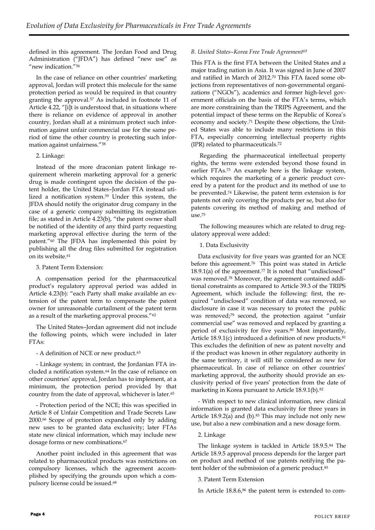defined in this agreement. The Jordan Food and Drug Administration ("JFDA") has defined "new use" as "new indication."<sup>56</sup>

In the case of reliance on other countries' marketing approval, Jordan will protect this molecule for the same protection period as would be required in that country granting the approval.<sup>57</sup> As included in footnote 11 of Article 4.22, "[i]t is understood that, in situations where there is reliance on evidence of approval in another country, Jordan shall at a minimum protect such information against unfair commercial use for the same period of time the other country is protecting such information against unfairness."<sup>58</sup>

### 2. Linkage:

Instead of the more draconian patent linkage requirement wherein marketing approval for a generic drug is made contingent upon the decision of the patent holder, the United States–Jordan FTA instead utilized a notification system.<sup>59</sup> Under this system, the JFDA should notify the originator drug company in the case of a generic company submitting its registration file; as stated in Article 4.23(b), "the patent owner shall be notified of the identity of any third party requesting marketing approval effective during the term of the patent."<sup>60</sup> The JFDA has implemented this point by publishing all the drug files submitted for registration on its website.<sup>61</sup>

3. Patent Term Extension:

A compensation period for the pharmaceutical product's regulatory approval period was added in Article 4.23(b): "each Party shall make available an extension of the patent term to compensate the patent owner for unreasonable curtailment of the patent term as a result of the marketing approval process."<sup>62</sup>

The United States–Jordan agreement did not include the following points, which were included in later FTAs:

- A definition of NCE or new product.<sup>63</sup>

- Linkage system; in contrast, the Jordanian FTA included a notification system. <sup>64</sup> In the case of reliance on other countries' approval, Jordan has to implement, at a minimum, the protection period provided by that country from the date of approval, whichever is later.<sup>65</sup>

- Protection period of the NCE; this was specified in Article 8 of Unfair Competition and Trade Secrets Law 2000.<sup>66</sup> Scope of protection expanded only by adding new uses to be granted data exclusivity; later FTAs state new clinical information, which may include new dosage forms or new combinations.<sup>67</sup>

Another point included in this agreement that was related to pharmaceutical products was restrictions on compulsory licenses, which the agreement accomplished by specifying the grounds upon which a compulsory license could be issued.68

### *B. United States–Korea Free Trade Agreement<sup>69</sup>*

This FTA is the first FTA between the United States and a major trading nation in Asia. It was signed in June of 2007 and ratified in March of 2012.<sup>70</sup> This FTA faced some objections from representatives of non-governmental organizations ("NGOs"), academics and former high-level government officials on the basis of the FTA's terms, which are more constraining than the TRIPS Agreement, and the potential impact of these terms on the Republic of Korea's economy and society.<sup>71</sup> Despite these objections, the United States was able to include many restrictions in this FTA, especially concerning intellectual property rights (IPR) related to pharmaceuticals.<sup>72</sup>

Regarding the pharmaceutical intellectual property rights, the terms were extended beyond those found in earlier FTAs.<sup>73</sup> An example here is the linkage system, which requires the marketing of a generic product covered by a patent for the product and its method of use to be prevented.<sup>74</sup> Likewise, the patent term extension is for patents not only covering the products per se, but also for patents covering its method of making and method of use.<sup>75</sup>

The following measures which are related to drug regulatory approval were added:

1. Data Exclusivity

Data exclusivity for five years was granted for an NCE before this agreement.<sup>76</sup> This point was stated in Article  $18.9.1(a)$  of the agreement.<sup>77</sup> It is noted that "undisclosed" was removed.<sup>78</sup> Moreover, the agreement contained additional constraints as compared to Article 39.3 of the TRIPS Agreement, which include the following: first, the required "undisclosed" condition of data was removed, so disclosure in case it was necessary to protect the public was removed;<sup>79</sup> second, the protection against "unfair commercial use" was removed and replaced by granting a period of exclusivity for five years.<sup>80</sup> Most importantly, Article 18.9.1(c) introduced a definition of new products.<sup>81</sup> This excludes the definition of new as patent novelty and if the product was known in other regulatory authority in the same territory, it will still be considered as new for pharmaceutical. In case of reliance on other countries' marketing approval, the authority should provide an exclusivity period of five years' protection from the date of marketing in Korea pursuant to Article 18.9.1(b).<sup>82</sup>

- With respect to new clinical information, new clinical information is granted data exclusivity for three years in Article  $18.9.2(a)$  and  $(b)$ .<sup>83</sup> This may include not only new use, but also a new combination and a new dosage form.

2. Linkage

The linkage system is tackled in Article 18.9.5.<sup>84</sup> The Article 18.9.5 approval process depends for the larger part on product and method of use patents notifying the patent holder of the submission of a generic product.<sup>85</sup>

3. Patent Term Extension

In Article 18.8.6,<sup>86</sup> the patent term is extended to com-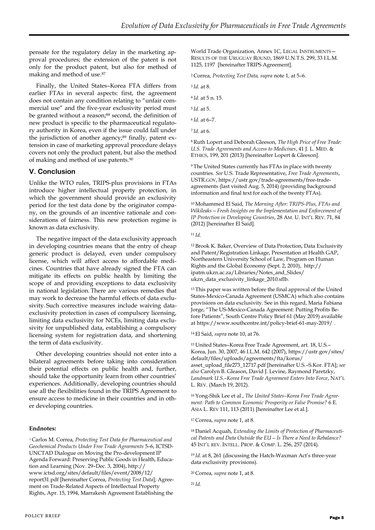pensate for the regulatory delay in the marketing approval procedures; the extension of the patent is not only for the product patent, but also for method of making and method of use.<sup>87</sup>

Finally, the United States–Korea FTA differs from earlier FTAs in several aspects: first, the agreement does not contain any condition relating to "unfair commercial use" and the five-year exclusivity period must be granted without a reason;88 second, the definition of new product is specific to the pharmaceutical regulatory authority in Korea, even if the issue could fall under the jurisdiction of another agency;<sup>89</sup> finally, patent extension in case of marketing approval procedure delays covers not only the product patent, but also the method of making and method of use patents.<sup>90</sup>

## **V. Conclusion**

Unlike the WTO rules, TRIPS-plus provisions in FTAs introduce higher intellectual property protection, in which the government should provide an exclusivity period for the test data done by the originator company, on the grounds of an incentive rationale and considerations of fairness. This new protection regime is known as data exclusivity.

The negative impact of the data exclusivity approach in developing countries means that the entry of cheap generic product is delayed, even under compulsory license, which will affect access to affordable medicines. Countries that have already signed the FTA can mitigate its effects on public health by limiting the scope of and providing exceptions to data exclusivity in national legislation. There are various remedies that may work to decrease the harmful effects of data exclusivity. Such corrective measures include waiving dataexclusivity protection in cases of compulsory licensing, limiting data exclusivity for NCEs, limiting data exclusivity for unpublished data, establishing a compulsory licensing system for registration data, and shortening the term of data exclusivity.

Other developing countries should not enter into a bilateral agreements before taking into consideration their potential effects on public health and, further, should take the opportunity learn from other countries' experiences. Additionally, developing countries should use all the flexibilities found in the TRIPS Agreement to ensure access to medicine in their countries and in other developing countries.

#### **Endnotes:**

<sup>1</sup>Carlos M. Correa, *Protecting Test Data for Pharmaceutical and Geochemical Products Under Free Trade Agreements* 5–6, ICTSD-UNCTAD Dialogue on Moving the Pro-development IP Agenda Forward: Preserving Public Goods in Health, Education and Learning (Nov. 29–Dec. 3, 2004), http:// www.ictsd.org/sites/default/files/event/2008/12/ report31.pdf [hereinafter Correa, *Protecting Test Data*]; Agreement on Trade-Related Aspects of Intellectual Property Rights, Apr. 15, 1994, Marrakesh Agreement Establishing the World Trade Organization, Annex 1C, LEGAL INSTRUMENTS— RESULTS OF THE URUGUAY ROUND, 1869 U.N.T.S. 299, 33 I.L.M. 1125, 1197 [hereinafter TRIPS Agreement].

<sup>2</sup>Correa, *Protecting Test Data, supra* note 1, at 5–6.

<sup>3</sup>*Id.* at 8.

- <sup>4</sup>*Id.* at 5 n. 15.
- <sup>5</sup>*Id.* at 5.
- <sup>6</sup>*Id.* at 6–7.
- <sup>7</sup>*Id.* at 6.

<sup>8</sup> Ruth Lopert and Deborah Gleeson, *The High Price of Free Trade: U.S. Trade Agreements and Access to Medicines*, 41 J. L. MED. & ETHICS, 199, 201 (2013) [hereinafter Lopert & Gleeson].

<sup>9</sup>The United States currently has FTAs in place with twenty countries. *See* U.S. Trade Representative, *Free Trade Agreements*, USTR.GOV, https://ustr.gov/trade-agreements/free-tradeagreements (last visited Aug. 5, 2014) (providing background information and final text for each of the twenty FTAs).

<sup>10</sup>Mohammed El Said, *The Morning After: TRIPS-Plus, FTAs and Wikileaks—Fresh Insights on the Implementation and Enforcement of IP Protection in Developing Countries*, 28 AM. U. INT'L REV. 71, 84 (2012) [hereinafter El Said].

<sup>11</sup>*Id.*

<sup>12</sup>Brook K. Baker, Overview of Data Protection, Data Exclusivity and Patent/Registration Linkage, Presentation at Health GAP, Northeastern University School of Law, Program on Human Rights and the Global Economy (Sept. 2, 2010), http:// ipatm.ukzn.ac.za/Libraries/Notes\_and\_Slides/ ukzn\_data\_exclusivity\_linkage\_2010.sflb.

<sup>13</sup>This paper was written before the final approval of the United States-Mexico-Canada Agreement (USMCA) which also contains provisions on data exclusivity. See in this regard, Maria Fabiana Jorge, "The US-Mexico-Canada Agreement: Putting Profits Before Patients", South Centre Policy Brief 61 (May 2019) available at<https://www.southcentre.int/policy-brief-61-may-2019/> .

<sup>14</sup>El Said, *supra* note 10, at 76.

<sup>15</sup>United States–Korea Free Trade Agreement, art. 18, U.S.– Korea, Jun. 30, 2007, 46 I.L.M. 642 (2007), https://ustr.gov/sites/ default/files/uploads/agreements/fta/korus/ asset\_upload\_file273\_12717.pdf [hereinafter U.S.–S.Kor. FTA]; *see also* Carolyn B. Gleason, David J. Levine, Raymond Paretzky, *Landmark U.S.–Korea Free Trade Agreement Enters Into Force*, NAT'L L. REV. (March 19, 2012).

16 Yong-Shik Lee et al., *The United States–Korea Free Trade Agreement: Path to Common Economic Prosperity or False Promise?* 6 E. ASIA L. REV 111, 113 (2011) [hereinafter Lee et al.].

<sup>17</sup>Correa, *supra* note 1, at 8.

18 Daniel Acquah, *Extending the Limits of Protection of Pharmaceutical Patents and Data Outside the EU—Is There a Need to Rebalance?* 45 INT'L REV. INTELL. PROP. & COMP. L. 256, 257 (2014).

<sup>19</sup>*Id.* at 8, 261 (discussing the Hatch-Waxman Act's three-year data exclusivity provisions).

<sup>20</sup>Correa*, supra* note 1, at 8.

<sup>21</sup>*Id.*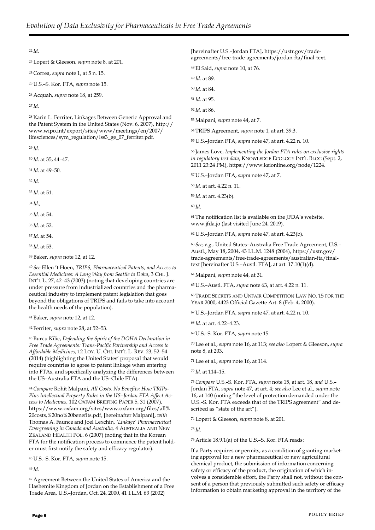#### <sup>22</sup>*Id.*

<sup>23</sup>Lopert & Gleeson, *supra* note 8, at 201.

<sup>24</sup>Correa, *supra* note 1, at 5 n. 15.

<sup>25</sup>U.S.–S. Kor. FTA, *supra* note 15.

<sup>26</sup>Acquah, *supra* note 18*,* at 259.

<sup>27</sup>*Id.*

<sup>28</sup>Karin L. Ferriter, Linkages Between Generic Approval and the Patent System in the United States (Nov. 6, 2007), [http://](http://www.wipo.int/export/sites/www/meetings/en/2007/lifesciences/sym_regulation/lss3_ge_07_ferriter.pdf) [www.wipo.int/export/sites/www/meetings/en/2007/](http://www.wipo.int/export/sites/www/meetings/en/2007/lifesciences/sym_regulation/lss3_ge_07_ferriter.pdf) [lifesciences/sym\\_regulation/lss3\\_ge\\_07\\_ferriter.pdf.](http://www.wipo.int/export/sites/www/meetings/en/2007/lifesciences/sym_regulation/lss3_ge_07_ferriter.pdf)

<sup>29</sup>*Id.*

<sup>30</sup>*Id.* at 35, 44–47.

<sup>31</sup>*Id.* at 49–50.

<sup>32</sup>*Id.*

<sup>33</sup>*Id.* at 51.

<sup>34</sup>*Id.,*

<sup>35</sup>*Id.* at 54.

<sup>36</sup>*Id.* at 52.

<sup>37</sup>*Id.* at 54.

<sup>38</sup>*Id.* at 53.

<sup>39</sup>Baker, *supra* note 12, at 12.

<sup>40</sup>*See* Ellen 't Hoen, *TRIPS, Pharmaceutical Patents, and Access to Essential Medicines: A Long Way from Seattle to Doha*, 3 CHI. J. INT'L L. 27, 42–43 (2003) (noting that developing countries are under pressure from industrialized countries and the pharmaceutical industry to implement patent legislation that goes beyond the obligations of TRIPS and fails to take into account the health needs of the population).

<sup>41</sup>Baker, *supra* note 12, at 12.

<sup>42</sup>Ferriter, *supra* note 28, at 52–53.

<sup>43</sup>Burcu Kilic, *Defending the Spirit of the DOHA Declaration in Free Trade Agreements: Trans-Pacific Partnership and Access to Affordable Medicines*, 12 LOY. U. CHI. INT'L L. REV. 23, 52–54 (2014) (highlighting the United States' proposal that would require countries to agree to patent linkage when entering into FTAs, and specifically analyzing the differences between the US–Australia FTA and the US–Chile FTA).

44 *Compare* Rohit Malpani, *All Costs, No Benefits: How TRIPs-Plus Intellectual Property Rules in the US–Jordan FTA Affect Access to Medicines*, 102 OXFAM BRIEFING PAPER 5, 31 (2007), https://www.oxfam.org/sites/www.oxfam.org/files/all% 20costs,%20no%20benefits.pdf, [hereinafter Malpani], *with*  Thomas A. Faunce and Joel Lexchin, *'Linkage' Pharmaceutical Evergreening in Canada and Australia,* 4 AUSTRALIA AND NEW ZEALAND HEALTH POL. 6 (2007) (noting that in the Korean FTA for the notification process to commence the patent holder must first notify the safety and efficacy regulator).

<sup>45</sup>U.S.–S. Kor. FTA, *supra* note 15.

<sup>46</sup>*Id.*

<sup>47</sup>Agreement Between the United States of America and the Hashemite Kingdom of Jordan on the Establishment of a Free Trade Area, U.S.–Jordan, Oct. 24, 2000, 41 I.L.M. 63 (2002)

[hereinafter U.S.–Jordan FTA], https://ustr.gov/tradeagreements/free-trade-agreements/jordan-fta/final-text.

<sup>48</sup>El Said, *supra* note 10, at 76.

<sup>49</sup>*Id.* at 89.

<sup>50</sup>*Id.* at 84.

<sup>51</sup>*Id.* at 95.

<sup>52</sup>*Id.* at 86.

<sup>53</sup>Malpani, *supra* note 44, at 7.

<sup>54</sup>TRIPS Agreement, *supra* note 1, at art. 39.3.

<sup>55</sup>U.S.–Jordan FTA, *supra* note 47, at art. 4.22 n. 10.

<sup>56</sup>James Love, *Implementing the Jordan FTA rules on exclusive rights in regulatory test data*, KNOWLEDGE ECOLOGY INT'L BLOG (Sept. 2, 2011 23:24 PM), https://www.keionline.org/node/1224.

<sup>57</sup>U.S.–Jordan FTA, *supra* note 47, at 7.

<sup>58</sup>*Id.* at art. 4.22 n. 11.

<sup>59</sup>*Id.* at art. 4.23(b).

<sup>60</sup>*Id.*

<sup>61</sup>The notification list is available on the JFDA's website, www.jfda.jo (last visited June 24, 2019).

<sup>62</sup>U.S.–Jordan FTA, *supra* note 47, at art. 4.23(b).

<sup>63</sup>*See, e.g.,* United States–Australia Free Trade Agreement, U.S.– Austl., May 18, 2004, 43 I.L.M. 1248 (2004), https://ustr.gov/ trade-agreements/free-trade-agreements/australian-fta/finaltext [hereinafter U.S.–Austl. FTA], at art. 17.10(1)(d).

<sup>64</sup>Malpani, *supra* note 44, at 31.

<sup>65</sup>U.S.–Austl. FTA, *supra* note 63, at art. 4.22 n. 11.

<sup>66</sup>TRADE SECRETS AND UNFAIR COMPETITION LAW NO. 15 FOR THE YEAR 2000, 4423 Official Gazette Art. 8 (Feb. 4, 2000).

<sup>67</sup>U.S.–Jordan FTA, *supra* note 47, at art. 4.22 n. 10.

<sup>68</sup>*Id.* at art. 4.22–4.23.

<sup>69</sup>U.S.–S. Kor. FTA, *supra* note 15.

<sup>70</sup>Lee et al., *supra* note 16, at 113; *see also* Lopert & Gleeson, *supra* note 8, at 203.

<sup>71</sup>Lee et al., *supra* note 16, at 114.

<sup>72</sup>*Id.* at 114–15.

<sup>73</sup>*Compare* U.S.–S. Kor. FTA, *supra* note 15, at art. 18, *and* U.S.– Jordan FTA, *supra* note 47, at art. 4; *see also* Lee et al., *supra* note 16, at 140 (noting "the level of protection demanded under the U.S.–S. Kor. FTA exceeds that of the TRIPS agreement" and described as "state of the art").

<sup>74</sup>Lopert & Gleeson, *supra* note 8, at 201.

<sup>75</sup>*Id.*

<sup>76</sup>Article 18.9.1(a) of the U.S.–S. Kor. FTA reads:

If a Party requires or permits, as a condition of granting marketing approval for a new pharmaceutical or new agricultural chemical product, the submission of information concerning safety or efficacy of the product, the origination of which involves a considerable effort, the Party shall not, without the consent of a person that previously submitted such safety or efficacy information to obtain marketing approval in the territory of the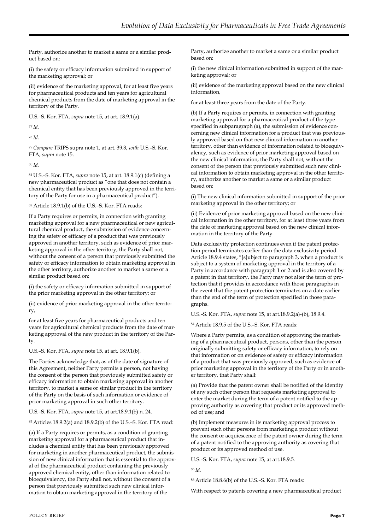Party, authorize another to market a same or a similar product based on:

(i) the safety or efficacy information submitted in support of the marketing approval; or

(ii) evidence of the marketing approval, for at least five years for pharmaceutical products and ten years for agricultural chemical products from the date of marketing approval in the territory of the Party.

U.S.–S. Kor. FTA, *supra* note 15, at art. 18.9.1(a).

<sup>77</sup>*Id.*

<sup>78</sup>*Id.*

<sup>79</sup>*Compare* TRIPS supra note 1, at art. 39.3, *with* U.S.–S. Kor. FTA, *supra* note 15.

<sup>80</sup>*Id.*

<sup>81</sup>U.S.–S. Kor. FTA, *supra* note 15, at art. 18.9.1(c) (defining a new pharmaceutical product as "one that does not contain a chemical entity that has been previously approved in the territory of the Party for use in a pharmaceutical product").

<sup>82</sup>Article 18.9.1(b) of the U.S.–S. Kor. FTA reads:

If a Party requires or permits, in connection with granting marketing approval for a new pharmaceutical or new agricultural chemical product, the submission of evidence concerning the safety or efficacy of a product that was previously approved in another territory, such as evidence of prior marketing approval in the other territory, the Party shall not, without the consent of a person that previously submitted the safety or efficacy information to obtain marketing approval in the other territory, authorize another to market a same or a similar product based on:

(i) the safety or efficacy information submitted in support of the prior marketing approval in the other territory; or

(ii) evidence of prior marketing approval in the other territory,

for at least five years for pharmaceutical products and ten years for agricultural chemical products from the date of marketing approval of the new product in the territory of the Party.

U.S.–S. Kor. FTA, *supra* note 15, at art. 18.9.1(b).

The Parties acknowledge that, as of the date of signature of this Agreement, neither Party permits a person, not having the consent of the person that previously submitted safety or efficacy information to obtain marketing approval in another territory, to market a same or similar product in the territory of the Party on the basis of such information or evidence of prior marketing approval in such other territory.

U.S.–S. Kor. FTA, *supra* note 15, at art.18.9.1(b) n. 24.

<sup>83</sup>Articles 18.9.2(a) and 18.9.2(b) of the U.S.–S. Kor. FTA read:

(a) If a Party requires or permits, as a condition of granting marketing approval for a pharmaceutical product that includes a chemical entity that has been previously approved for marketing in another pharmaceutical product, the submission of new clinical information that is essential to the approval of the pharmaceutical product containing the previously approved chemical entity, other than information related to bioequivalency, the Party shall not, without the consent of a person that previously submitted such new clinical information to obtain marketing approval in the territory of the

Party, authorize another to market a same or a similar product based on:

(i) the new clinical information submitted in support of the marketing approval; or

(ii) evidence of the marketing approval based on the new clinical information,

for at least three years from the date of the Party.

(b) If a Party requires or permits, in connection with granting marketing approval for a pharmaceutical product of the type specified in subparagraph (a), the submission of evidence concerning new clinical information for a product that was previously approved based on that new clinical information in another territory, other than evidence of information related to bioequivalency, such as evidence of prior marketing approval based on the new clinical information, the Party shall not, without the consent of the person that previously submitted such new clinical information to obtain marketing approval in the other territory, authorize another to market a same or a similar product based on:

(i) The new clinical information submitted in support of the prior marketing approval in the other territory; or

(ii) Evidence of prior marketing approval based on the new clinical information in the other territory, for at least three years from the date of marketing approval based on the new clinical information in the territory of the Party.

Data exclusivity protection continues even if the patent protection period terminates earlier than the data exclusivity period. Article 18.9.4 states, "[s]ubject to paragraph 3, when a product is subject to a system of marketing approval in the territory of a Party in accordance with paragraph 1 or 2 and is also covered by a patent in that territory, the Party may not alter the term of protection that it provides in accordance with those paragraphs in the event that the patent protection terminates on a date earlier than the end of the term of protection specified in those paragraphs.

U.S.–S. Kor. FTA, *supra* note 15, at art.18.9.2(a)-(b), 18.9.4.

<sup>84</sup>Article 18.9.5 of the U.S.–S. Kor. FTA reads:

Where a Party permits, as a condition of approving the marketing of a pharmaceutical product, persons, other than the person originally submitting safety or efficacy information, to rely on that information or on evidence of safety or efficacy information of a product that was previously approved, such as evidence of prior marketing approval in the territory of the Party or in another territory, that Party shall:

(a) Provide that the patent owner shall be notified of the identity of any such other person that requests marketing approval to enter the market during the term of a patent notified to the approving authority as covering that product or its approved method of use; and

(b) Implement measures in its marketing approval process to prevent such other persons from marketing a product without the consent or acquiescence of the patent owner during the term of a patent notified to the approving authority as covering that product or its approved method of use.

U.S.–S. Kor. FTA, *supra* note 15, at art.18.9.5.

<sup>85</sup>*Id.*

<sup>86</sup>Article 18.8.6(b) of the U.S.–S. Kor. FTA reads:

With respect to patents covering a new pharmaceutical product